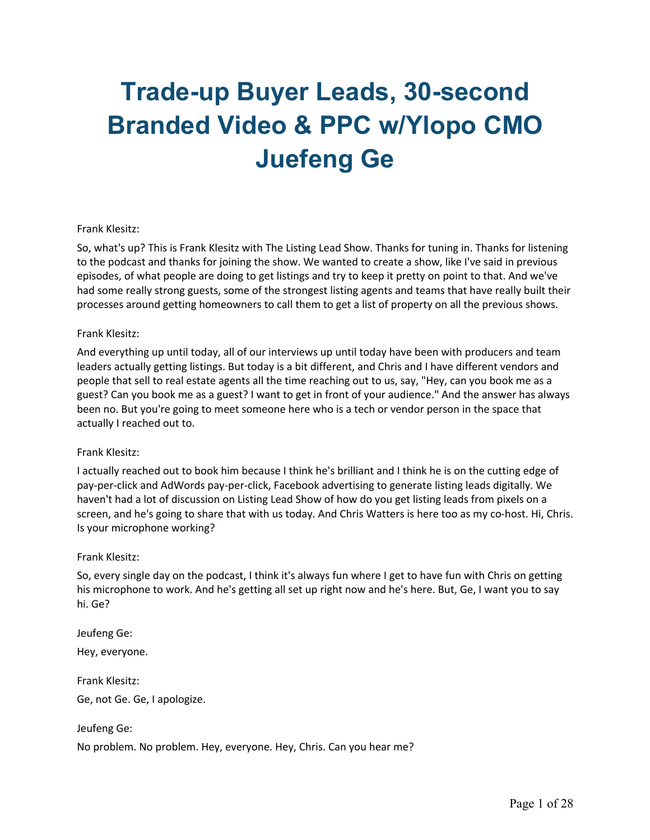# **Trade-up Buyer Leads, 30-second Branded Video & PPC w/Ylopo CMO Juefeng Ge**

#### Frank Klesitz:

So, what's up? This is Frank Klesitz with The Listing Lead Show. Thanks for tuning in. Thanks for listening to the podcast and thanks for joining the show. We wanted to create a show, like I've said in previous episodes, of what people are doing to get listings and try to keep it pretty on point to that. And we've had some really strong guests, some of the strongest listing agents and teams that have really built their processes around getting homeowners to call them to get a list of property on all the previous shows.

#### Frank Klesitz:

And everything up until today, all of our interviews up until today have been with producers and team leaders actually getting listings. But today is a bit different, and Chris and I have different vendors and people that sell to real estate agents all the time reaching out to us, say, "Hey, can you book me as a guest? Can you book me as a guest? I want to get in front of your audience." And the answer has always been no. But you're going to meet someone here who is a tech or vendor person in the space that actually I reached out to.

#### Frank Klesitz:

I actually reached out to book him because I think he's brilliant and I think he is on the cutting edge of pay-per-click and AdWords pay-per-click, Facebook advertising to generate listing leads digitally. We haven't had a lot of discussion on Listing Lead Show of how do you get listing leads from pixels on a screen, and he's going to share that with us today. And Chris Watters is here too as my co-host. Hi, Chris. Is your microphone working?

#### Frank Klesitz:

So, every single day on the podcast, I think it's always fun where I get to have fun with Chris on getting his microphone to work. And he's getting all set up right now and he's here. But, Ge, I want you to say hi. Ge?

Jeufeng Ge: Hey, everyone. Frank Klesitz: Ge, not Ge. Ge, I apologize.

Jeufeng Ge:

No problem. No problem. Hey, everyone. Hey, Chris. Can you hear me?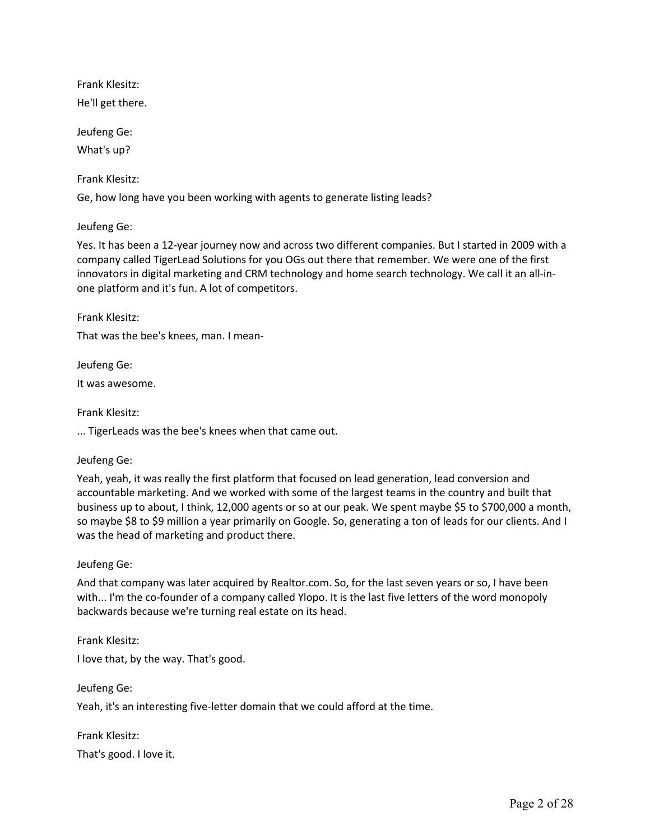Frank Klesitz: He'll get there.

Jeufeng Ge: What's up?

Frank Klesitz:

Ge, how long have you been working with agents to generate listing leads?

Jeufeng Ge:

Yes. It has been a 12-year journey now and across two different companies. But I started in 2009 with a company called TigerLead Solutions for you OGs out there that remember. We were one of the first innovators in digital marketing and CRM technology and home search technology. We call it an all-inone platform and it's fun. A lot of competitors.

Frank Klesitz:

That was the bee's knees, man. I mean-

Jeufeng Ge:

It was awesome.

Frank Klesitz:

... TigerLeads was the bee's knees when that came out.

Jeufeng Ge:

Yeah, yeah, it was really the first platform that focused on lead generation, lead conversion and accountable marketing. And we worked with some of the largest teams in the country and built that business up to about, I think, 12,000 agents or so at our peak. We spent maybe \$5 to \$700,000 a month, so maybe \$8 to \$9 million a year primarily on Google. So, generating a ton of leads for our clients. And I was the head of marketing and product there.

Jeufeng Ge:

And that company was later acquired by Realtor.com. So, for the last seven years or so, I have been with... I'm the co-founder of a company called Ylopo. It is the last five letters of the word monopoly backwards because we're turning real estate on its head.

Frank Klesitz:

I love that, by the way. That's good.

Jeufeng Ge: Yeah, it's an interesting five-letter domain that we could afford at the time.

Frank Klesitz: That's good. I love it.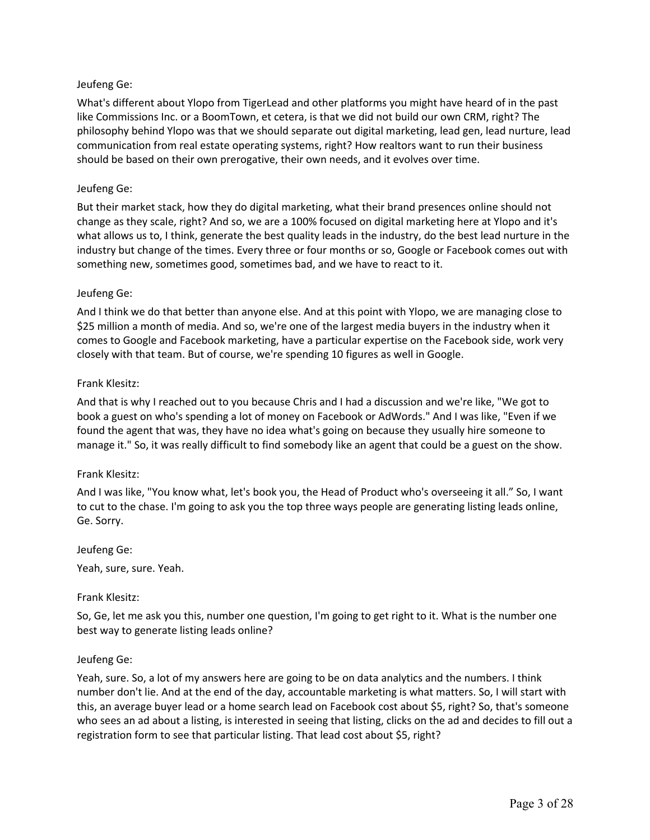What's different about Ylopo from TigerLead and other platforms you might have heard of in the past like Commissions Inc. or a BoomTown, et cetera, is that we did not build our own CRM, right? The philosophy behind Ylopo was that we should separate out digital marketing, lead gen, lead nurture, lead communication from real estate operating systems, right? How realtors want to run their business should be based on their own prerogative, their own needs, and it evolves over time.

## Jeufeng Ge:

But their market stack, how they do digital marketing, what their brand presences online should not change as they scale, right? And so, we are a 100% focused on digital marketing here at Ylopo and it's what allows us to, I think, generate the best quality leads in the industry, do the best lead nurture in the industry but change of the times. Every three or four months or so, Google or Facebook comes out with something new, sometimes good, sometimes bad, and we have to react to it.

## Jeufeng Ge:

And I think we do that better than anyone else. And at this point with Ylopo, we are managing close to \$25 million a month of media. And so, we're one of the largest media buyers in the industry when it comes to Google and Facebook marketing, have a particular expertise on the Facebook side, work very closely with that team. But of course, we're spending 10 figures as well in Google.

#### Frank Klesitz:

And that is why I reached out to you because Chris and I had a discussion and we're like, "We got to book a guest on who's spending a lot of money on Facebook or AdWords." And I was like, "Even if we found the agent that was, they have no idea what's going on because they usually hire someone to manage it." So, it was really difficult to find somebody like an agent that could be a guest on the show.

#### Frank Klesitz:

And I was like, "You know what, let's book you, the Head of Product who's overseeing it all." So, I want to cut to the chase. I'm going to ask you the top three ways people are generating listing leads online, Ge. Sorry.

Jeufeng Ge:

Yeah, sure, sure. Yeah.

#### Frank Klesitz:

So, Ge, let me ask you this, number one question, I'm going to get right to it. What is the number one best way to generate listing leads online?

#### Jeufeng Ge:

Yeah, sure. So, a lot of my answers here are going to be on data analytics and the numbers. I think number don't lie. And at the end of the day, accountable marketing is what matters. So, I will start with this, an average buyer lead or a home search lead on Facebook cost about \$5, right? So, that's someone who sees an ad about a listing, is interested in seeing that listing, clicks on the ad and decides to fill out a registration form to see that particular listing. That lead cost about \$5, right?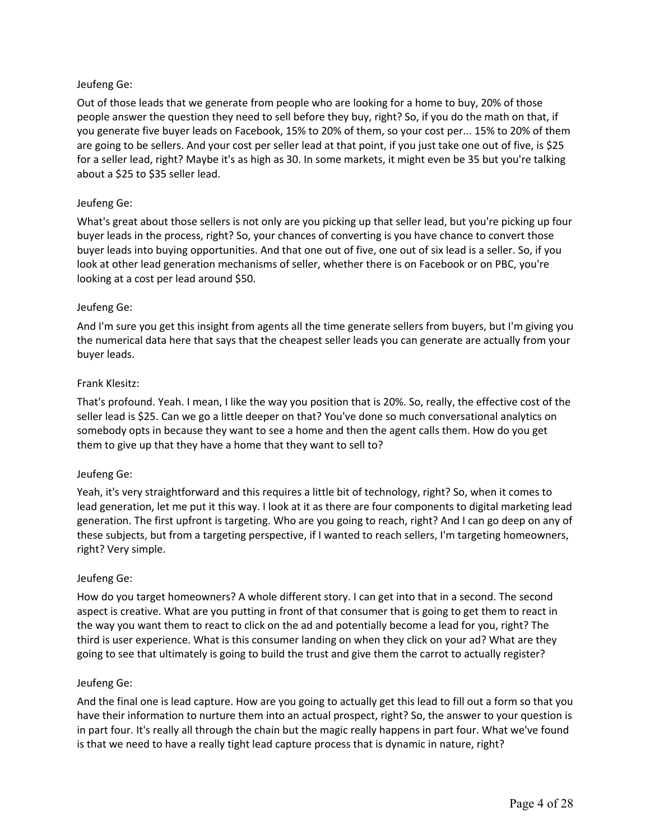Out of those leads that we generate from people who are looking for a home to buy, 20% of those people answer the question they need to sell before they buy, right? So, if you do the math on that, if you generate five buyer leads on Facebook, 15% to 20% of them, so your cost per... 15% to 20% of them are going to be sellers. And your cost per seller lead at that point, if you just take one out of five, is \$25 for a seller lead, right? Maybe it's as high as 30. In some markets, it might even be 35 but you're talking about a \$25 to \$35 seller lead.

# Jeufeng Ge:

What's great about those sellers is not only are you picking up that seller lead, but you're picking up four buyer leads in the process, right? So, your chances of converting is you have chance to convert those buyer leads into buying opportunities. And that one out of five, one out of six lead is a seller. So, if you look at other lead generation mechanisms of seller, whether there is on Facebook or on PBC, you're looking at a cost per lead around \$50.

## Jeufeng Ge:

And I'm sure you get this insight from agents all the time generate sellers from buyers, but I'm giving you the numerical data here that says that the cheapest seller leads you can generate are actually from your buyer leads.

## Frank Klesitz:

That's profound. Yeah. I mean, I like the way you position that is 20%. So, really, the effective cost of the seller lead is \$25. Can we go a little deeper on that? You've done so much conversational analytics on somebody opts in because they want to see a home and then the agent calls them. How do you get them to give up that they have a home that they want to sell to?

## Jeufeng Ge:

Yeah, it's very straightforward and this requires a little bit of technology, right? So, when it comes to lead generation, let me put it this way. I look at it as there are four components to digital marketing lead generation. The first upfront is targeting. Who are you going to reach, right? And I can go deep on any of these subjects, but from a targeting perspective, if I wanted to reach sellers, I'm targeting homeowners, right? Very simple.

## Jeufeng Ge:

How do you target homeowners? A whole different story. I can get into that in a second. The second aspect is creative. What are you putting in front of that consumer that is going to get them to react in the way you want them to react to click on the ad and potentially become a lead for you, right? The third is user experience. What is this consumer landing on when they click on your ad? What are they going to see that ultimately is going to build the trust and give them the carrot to actually register?

## Jeufeng Ge:

And the final one is lead capture. How are you going to actually get this lead to fill out a form so that you have their information to nurture them into an actual prospect, right? So, the answer to your question is in part four. It's really all through the chain but the magic really happens in part four. What we've found is that we need to have a really tight lead capture process that is dynamic in nature, right?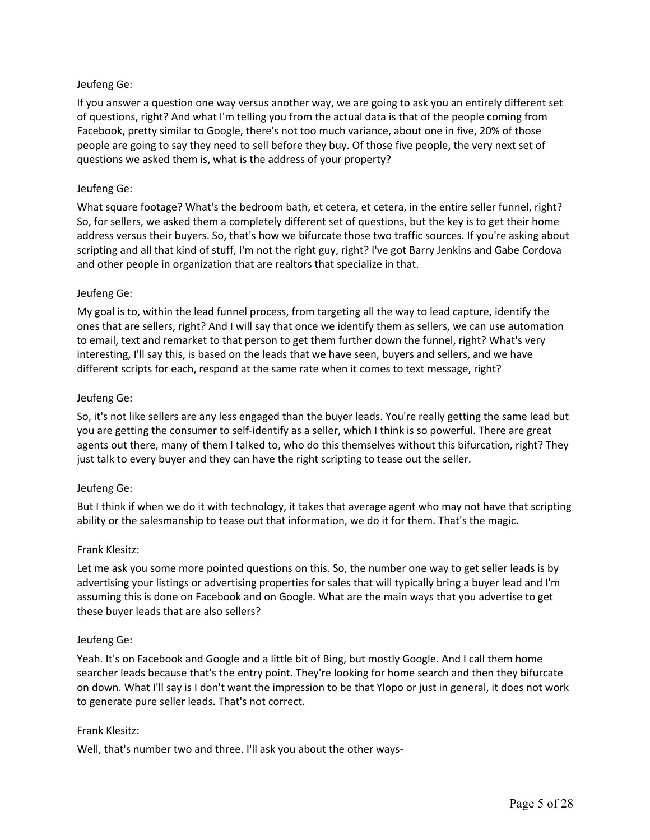If you answer a question one way versus another way, we are going to ask you an entirely different set of questions, right? And what I'm telling you from the actual data is that of the people coming from Facebook, pretty similar to Google, there's not too much variance, about one in five, 20% of those people are going to say they need to sell before they buy. Of those five people, the very next set of questions we asked them is, what is the address of your property?

# Jeufeng Ge:

What square footage? What's the bedroom bath, et cetera, et cetera, in the entire seller funnel, right? So, for sellers, we asked them a completely different set of questions, but the key is to get their home address versus their buyers. So, that's how we bifurcate those two traffic sources. If you're asking about scripting and all that kind of stuff, I'm not the right guy, right? I've got Barry Jenkins and Gabe Cordova and other people in organization that are realtors that specialize in that.

# Jeufeng Ge:

My goal is to, within the lead funnel process, from targeting all the way to lead capture, identify the ones that are sellers, right? And I will say that once we identify them as sellers, we can use automation to email, text and remarket to that person to get them further down the funnel, right? What's very interesting, I'll say this, is based on the leads that we have seen, buyers and sellers, and we have different scripts for each, respond at the same rate when it comes to text message, right?

## Jeufeng Ge:

So, it's not like sellers are any less engaged than the buyer leads. You're really getting the same lead but you are getting the consumer to self-identify as a seller, which I think is so powerful. There are great agents out there, many of them I talked to, who do this themselves without this bifurcation, right? They just talk to every buyer and they can have the right scripting to tease out the seller.

## Jeufeng Ge:

But I think if when we do it with technology, it takes that average agent who may not have that scripting ability or the salesmanship to tease out that information, we do it for them. That's the magic.

## Frank Klesitz:

Let me ask you some more pointed questions on this. So, the number one way to get seller leads is by advertising your listings or advertising properties for sales that will typically bring a buyer lead and I'm assuming this is done on Facebook and on Google. What are the main ways that you advertise to get these buyer leads that are also sellers?

## Jeufeng Ge:

Yeah. It's on Facebook and Google and a little bit of Bing, but mostly Google. And I call them home searcher leads because that's the entry point. They're looking for home search and then they bifurcate on down. What I'll say is I don't want the impression to be that Ylopo or just in general, it does not work to generate pure seller leads. That's not correct.

## Frank Klesitz:

Well, that's number two and three. I'll ask you about the other ways-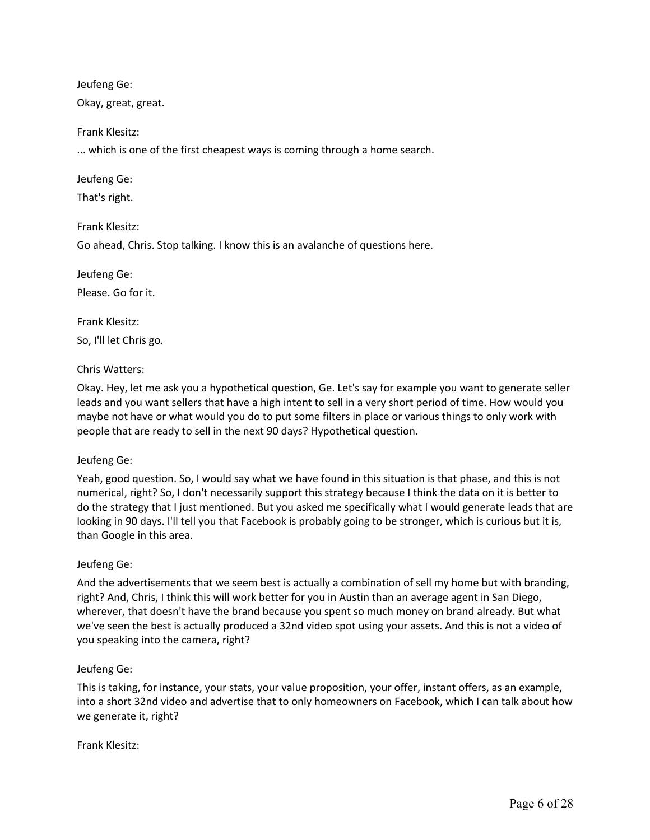Okay, great, great.

Frank Klesitz:

... which is one of the first cheapest ways is coming through a home search.

Jeufeng Ge:

That's right.

Frank Klesitz:

Go ahead, Chris. Stop talking. I know this is an avalanche of questions here.

Jeufeng Ge:

Please. Go for it.

Frank Klesitz: So, I'll let Chris go.

Chris Watters:

Okay. Hey, let me ask you a hypothetical question, Ge. Let's say for example you want to generate seller leads and you want sellers that have a high intent to sell in a very short period of time. How would you maybe not have or what would you do to put some filters in place or various things to only work with people that are ready to sell in the next 90 days? Hypothetical question.

## Jeufeng Ge:

Yeah, good question. So, I would say what we have found in this situation is that phase, and this is not numerical, right? So, I don't necessarily support this strategy because I think the data on it is better to do the strategy that I just mentioned. But you asked me specifically what I would generate leads that are looking in 90 days. I'll tell you that Facebook is probably going to be stronger, which is curious but it is, than Google in this area.

## Jeufeng Ge:

And the advertisements that we seem best is actually a combination of sell my home but with branding, right? And, Chris, I think this will work better for you in Austin than an average agent in San Diego, wherever, that doesn't have the brand because you spent so much money on brand already. But what we've seen the best is actually produced a 32nd video spot using your assets. And this is not a video of you speaking into the camera, right?

## Jeufeng Ge:

This is taking, for instance, your stats, your value proposition, your offer, instant offers, as an example, into a short 32nd video and advertise that to only homeowners on Facebook, which I can talk about how we generate it, right?

Frank Klesitz: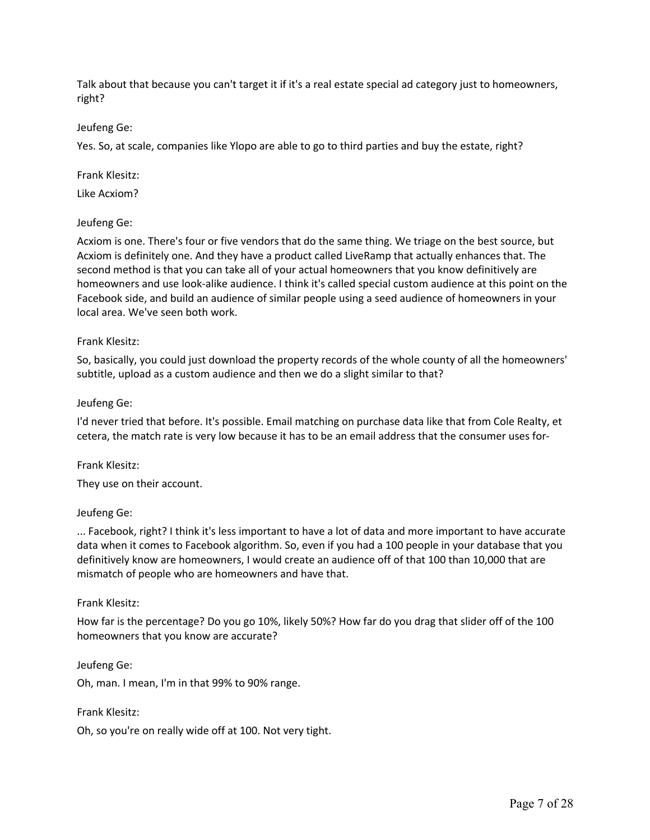Talk about that because you can't target it if it's a real estate special ad category just to homeowners, right?

Jeufeng Ge:

Yes. So, at scale, companies like Ylopo are able to go to third parties and buy the estate, right?

Frank Klesitz:

Like Acxiom?

#### Jeufeng Ge:

Acxiom is one. There's four or five vendors that do the same thing. We triage on the best source, but Acxiom is definitely one. And they have a product called LiveRamp that actually enhances that. The second method is that you can take all of your actual homeowners that you know definitively are homeowners and use look-alike audience. I think it's called special custom audience at this point on the Facebook side, and build an audience of similar people using a seed audience of homeowners in your local area. We've seen both work.

#### Frank Klesitz:

So, basically, you could just download the property records of the whole county of all the homeowners' subtitle, upload as a custom audience and then we do a slight similar to that?

#### Jeufeng Ge:

I'd never tried that before. It's possible. Email matching on purchase data like that from Cole Realty, et cetera, the match rate is very low because it has to be an email address that the consumer uses for-

Frank Klesitz:

They use on their account.

## Jeufeng Ge:

... Facebook, right? I think it's less important to have a lot of data and more important to have accurate data when it comes to Facebook algorithm. So, even if you had a 100 people in your database that you definitively know are homeowners, I would create an audience off of that 100 than 10,000 that are mismatch of people who are homeowners and have that.

## Frank Klesitz:

How far is the percentage? Do you go 10%, likely 50%? How far do you drag that slider off of the 100 homeowners that you know are accurate?

Jeufeng Ge:

Oh, man. I mean, I'm in that 99% to 90% range.

#### Frank Klesitz:

Oh, so you're on really wide off at 100. Not very tight.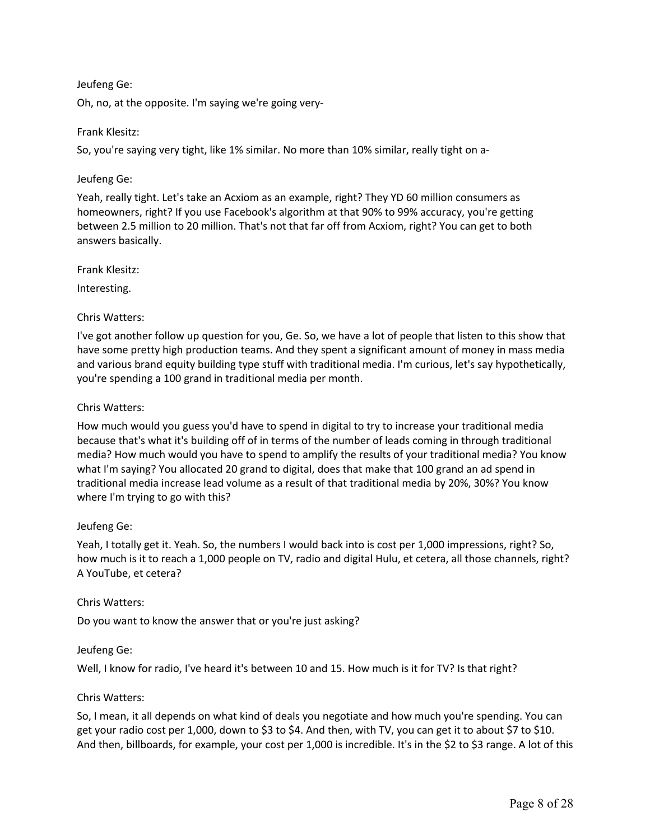Oh, no, at the opposite. I'm saying we're going very-

## Frank Klesitz:

So, you're saying very tight, like 1% similar. No more than 10% similar, really tight on a-

# Jeufeng Ge:

Yeah, really tight. Let's take an Acxiom as an example, right? They YD 60 million consumers as homeowners, right? If you use Facebook's algorithm at that 90% to 99% accuracy, you're getting between 2.5 million to 20 million. That's not that far off from Acxiom, right? You can get to both answers basically.

Frank Klesitz:

Interesting.

# Chris Watters:

I've got another follow up question for you, Ge. So, we have a lot of people that listen to this show that have some pretty high production teams. And they spent a significant amount of money in mass media and various brand equity building type stuff with traditional media. I'm curious, let's say hypothetically, you're spending a 100 grand in traditional media per month.

## Chris Watters:

How much would you guess you'd have to spend in digital to try to increase your traditional media because that's what it's building off of in terms of the number of leads coming in through traditional media? How much would you have to spend to amplify the results of your traditional media? You know what I'm saying? You allocated 20 grand to digital, does that make that 100 grand an ad spend in traditional media increase lead volume as a result of that traditional media by 20%, 30%? You know where I'm trying to go with this?

## Jeufeng Ge:

Yeah, I totally get it. Yeah. So, the numbers I would back into is cost per 1,000 impressions, right? So, how much is it to reach a 1,000 people on TV, radio and digital Hulu, et cetera, all those channels, right? A YouTube, et cetera?

## Chris Watters:

Do you want to know the answer that or you're just asking?

## Jeufeng Ge:

Well, I know for radio, I've heard it's between 10 and 15. How much is it for TV? Is that right?

## Chris Watters:

So, I mean, it all depends on what kind of deals you negotiate and how much you're spending. You can get your radio cost per 1,000, down to \$3 to \$4. And then, with TV, you can get it to about \$7 to \$10. And then, billboards, for example, your cost per 1,000 is incredible. It's in the \$2 to \$3 range. A lot of this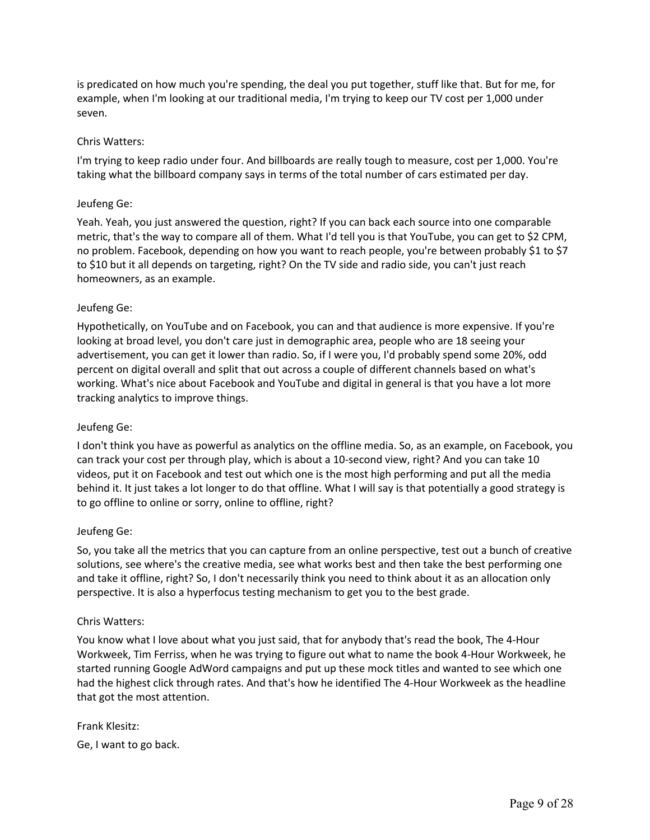is predicated on how much you're spending, the deal you put together, stuff like that. But for me, for example, when I'm looking at our traditional media, I'm trying to keep our TV cost per 1,000 under seven.

## Chris Watters:

I'm trying to keep radio under four. And billboards are really tough to measure, cost per 1,000. You're taking what the billboard company says in terms of the total number of cars estimated per day.

#### Jeufeng Ge:

Yeah. Yeah, you just answered the question, right? If you can back each source into one comparable metric, that's the way to compare all of them. What I'd tell you is that YouTube, you can get to \$2 CPM, no problem. Facebook, depending on how you want to reach people, you're between probably \$1 to \$7 to \$10 but it all depends on targeting, right? On the TV side and radio side, you can't just reach homeowners, as an example.

#### Jeufeng Ge:

Hypothetically, on YouTube and on Facebook, you can and that audience is more expensive. If you're looking at broad level, you don't care just in demographic area, people who are 18 seeing your advertisement, you can get it lower than radio. So, if I were you, I'd probably spend some 20%, odd percent on digital overall and split that out across a couple of different channels based on what's working. What's nice about Facebook and YouTube and digital in general is that you have a lot more tracking analytics to improve things.

#### Jeufeng Ge:

I don't think you have as powerful as analytics on the offline media. So, as an example, on Facebook, you can track your cost per through play, which is about a 10-second view, right? And you can take 10 videos, put it on Facebook and test out which one is the most high performing and put all the media behind it. It just takes a lot longer to do that offline. What I will say is that potentially a good strategy is to go offline to online or sorry, online to offline, right?

#### Jeufeng Ge:

So, you take all the metrics that you can capture from an online perspective, test out a bunch of creative solutions, see where's the creative media, see what works best and then take the best performing one and take it offline, right? So, I don't necessarily think you need to think about it as an allocation only perspective. It is also a hyperfocus testing mechanism to get you to the best grade.

#### Chris Watters:

You know what I love about what you just said, that for anybody that's read the book, The 4-Hour Workweek, Tim Ferriss, when he was trying to figure out what to name the book 4-Hour Workweek, he started running Google AdWord campaigns and put up these mock titles and wanted to see which one had the highest click through rates. And that's how he identified The 4-Hour Workweek as the headline that got the most attention.

## Frank Klesitz:

Ge, I want to go back.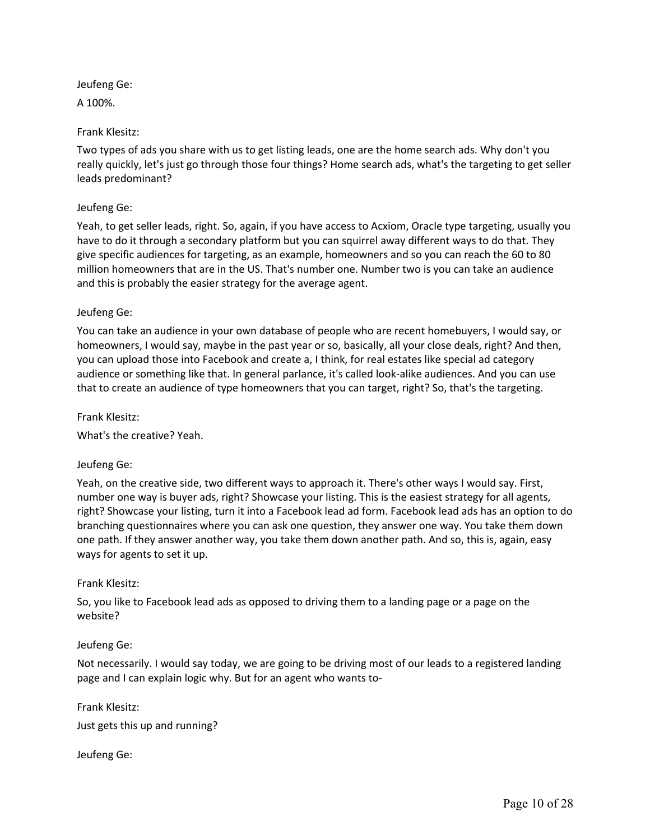A 100%.

# Frank Klesitz:

Two types of ads you share with us to get listing leads, one are the home search ads. Why don't you really quickly, let's just go through those four things? Home search ads, what's the targeting to get seller leads predominant?

# Jeufeng Ge:

Yeah, to get seller leads, right. So, again, if you have access to Acxiom, Oracle type targeting, usually you have to do it through a secondary platform but you can squirrel away different ways to do that. They give specific audiences for targeting, as an example, homeowners and so you can reach the 60 to 80 million homeowners that are in the US. That's number one. Number two is you can take an audience and this is probably the easier strategy for the average agent.

# Jeufeng Ge:

You can take an audience in your own database of people who are recent homebuyers, I would say, or homeowners, I would say, maybe in the past year or so, basically, all your close deals, right? And then, you can upload those into Facebook and create a, I think, for real estates like special ad category audience or something like that. In general parlance, it's called look-alike audiences. And you can use that to create an audience of type homeowners that you can target, right? So, that's the targeting.

Frank Klesitz:

What's the creative? Yeah.

# Jeufeng Ge:

Yeah, on the creative side, two different ways to approach it. There's other ways I would say. First, number one way is buyer ads, right? Showcase your listing. This is the easiest strategy for all agents, right? Showcase your listing, turn it into a Facebook lead ad form. Facebook lead ads has an option to do branching questionnaires where you can ask one question, they answer one way. You take them down one path. If they answer another way, you take them down another path. And so, this is, again, easy ways for agents to set it up.

## Frank Klesitz:

So, you like to Facebook lead ads as opposed to driving them to a landing page or a page on the website?

## Jeufeng Ge:

Not necessarily. I would say today, we are going to be driving most of our leads to a registered landing page and I can explain logic why. But for an agent who wants to-

## Frank Klesitz:

Just gets this up and running?

Jeufeng Ge: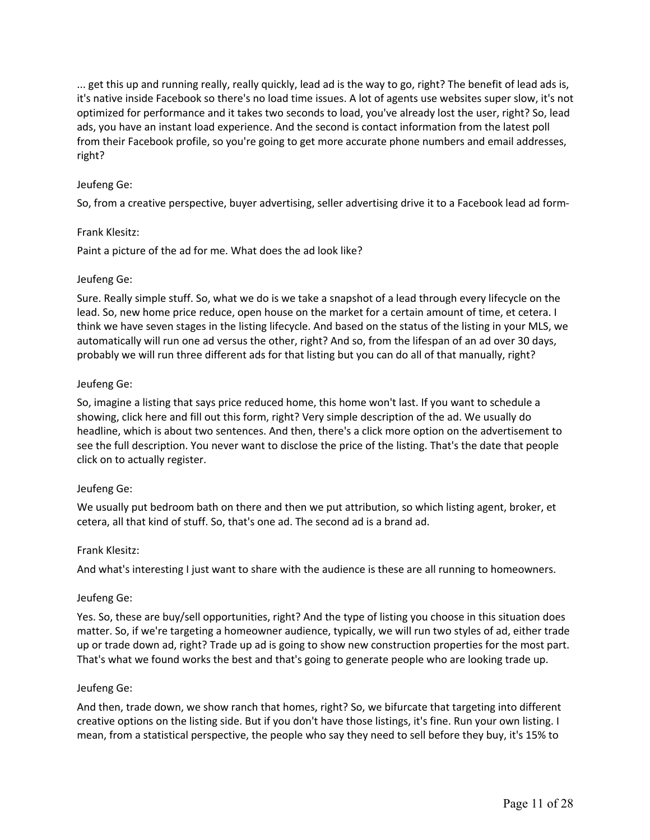... get this up and running really, really quickly, lead ad is the way to go, right? The benefit of lead ads is, it's native inside Facebook so there's no load time issues. A lot of agents use websites super slow, it's not optimized for performance and it takes two seconds to load, you've already lost the user, right? So, lead ads, you have an instant load experience. And the second is contact information from the latest poll from their Facebook profile, so you're going to get more accurate phone numbers and email addresses, right?

# Jeufeng Ge:

So, from a creative perspective, buyer advertising, seller advertising drive it to a Facebook lead ad form-

## Frank Klesitz:

Paint a picture of the ad for me. What does the ad look like?

#### Jeufeng Ge:

Sure. Really simple stuff. So, what we do is we take a snapshot of a lead through every lifecycle on the lead. So, new home price reduce, open house on the market for a certain amount of time, et cetera. I think we have seven stages in the listing lifecycle. And based on the status of the listing in your MLS, we automatically will run one ad versus the other, right? And so, from the lifespan of an ad over 30 days, probably we will run three different ads for that listing but you can do all of that manually, right?

#### Jeufeng Ge:

So, imagine a listing that says price reduced home, this home won't last. If you want to schedule a showing, click here and fill out this form, right? Very simple description of the ad. We usually do headline, which is about two sentences. And then, there's a click more option on the advertisement to see the full description. You never want to disclose the price of the listing. That's the date that people click on to actually register.

## Jeufeng Ge:

We usually put bedroom bath on there and then we put attribution, so which listing agent, broker, et cetera, all that kind of stuff. So, that's one ad. The second ad is a brand ad.

## Frank Klesitz:

And what's interesting I just want to share with the audience is these are all running to homeowners.

## Jeufeng Ge:

Yes. So, these are buy/sell opportunities, right? And the type of listing you choose in this situation does matter. So, if we're targeting a homeowner audience, typically, we will run two styles of ad, either trade up or trade down ad, right? Trade up ad is going to show new construction properties for the most part. That's what we found works the best and that's going to generate people who are looking trade up.

## Jeufeng Ge:

And then, trade down, we show ranch that homes, right? So, we bifurcate that targeting into different creative options on the listing side. But if you don't have those listings, it's fine. Run your own listing. I mean, from a statistical perspective, the people who say they need to sell before they buy, it's 15% to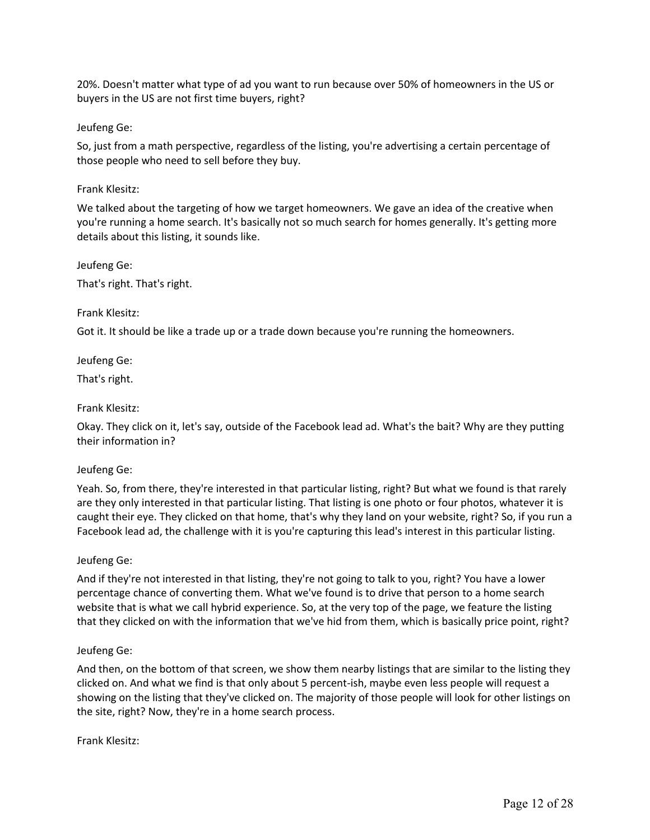20%. Doesn't matter what type of ad you want to run because over 50% of homeowners in the US or buyers in the US are not first time buyers, right?

Jeufeng Ge:

So, just from a math perspective, regardless of the listing, you're advertising a certain percentage of those people who need to sell before they buy.

Frank Klesitz:

We talked about the targeting of how we target homeowners. We gave an idea of the creative when you're running a home search. It's basically not so much search for homes generally. It's getting more details about this listing, it sounds like.

Jeufeng Ge: That's right. That's right.

Frank Klesitz:

Got it. It should be like a trade up or a trade down because you're running the homeowners.

Jeufeng Ge:

That's right.

Frank Klesitz:

Okay. They click on it, let's say, outside of the Facebook lead ad. What's the bait? Why are they putting their information in?

## Jeufeng Ge:

Yeah. So, from there, they're interested in that particular listing, right? But what we found is that rarely are they only interested in that particular listing. That listing is one photo or four photos, whatever it is caught their eye. They clicked on that home, that's why they land on your website, right? So, if you run a Facebook lead ad, the challenge with it is you're capturing this lead's interest in this particular listing.

## Jeufeng Ge:

And if they're not interested in that listing, they're not going to talk to you, right? You have a lower percentage chance of converting them. What we've found is to drive that person to a home search website that is what we call hybrid experience. So, at the very top of the page, we feature the listing that they clicked on with the information that we've hid from them, which is basically price point, right?

## Jeufeng Ge:

And then, on the bottom of that screen, we show them nearby listings that are similar to the listing they clicked on. And what we find is that only about 5 percent-ish, maybe even less people will request a showing on the listing that they've clicked on. The majority of those people will look for other listings on the site, right? Now, they're in a home search process.

Frank Klesitz: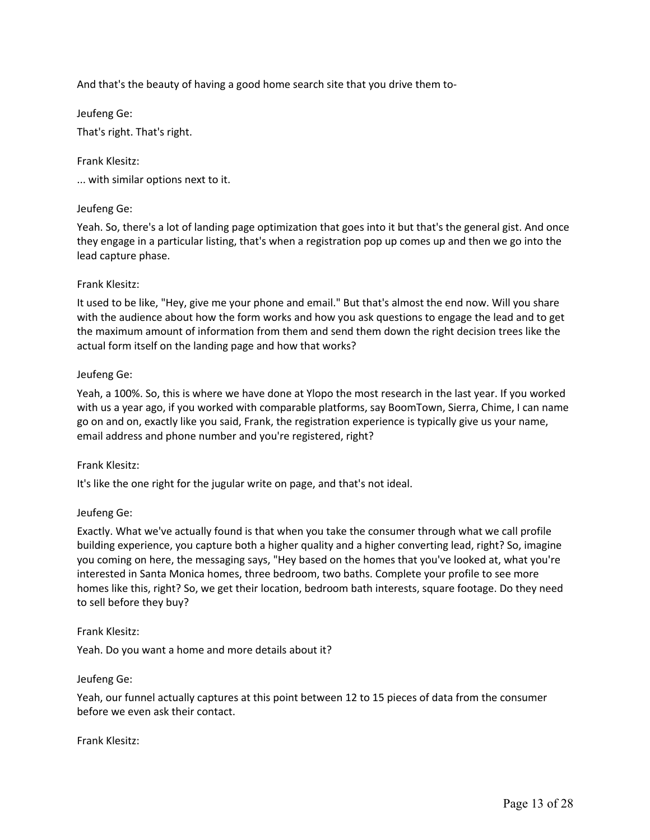And that's the beauty of having a good home search site that you drive them to-

Jeufeng Ge:

That's right. That's right.

Frank Klesitz:

... with similar options next to it.

# Jeufeng Ge:

Yeah. So, there's a lot of landing page optimization that goes into it but that's the general gist. And once they engage in a particular listing, that's when a registration pop up comes up and then we go into the lead capture phase.

# Frank Klesitz:

It used to be like, "Hey, give me your phone and email." But that's almost the end now. Will you share with the audience about how the form works and how you ask questions to engage the lead and to get the maximum amount of information from them and send them down the right decision trees like the actual form itself on the landing page and how that works?

# Jeufeng Ge:

Yeah, a 100%. So, this is where we have done at Ylopo the most research in the last year. If you worked with us a year ago, if you worked with comparable platforms, say BoomTown, Sierra, Chime, I can name go on and on, exactly like you said, Frank, the registration experience is typically give us your name, email address and phone number and you're registered, right?

## Frank Klesitz:

It's like the one right for the jugular write on page, and that's not ideal.

## Jeufeng Ge:

Exactly. What we've actually found is that when you take the consumer through what we call profile building experience, you capture both a higher quality and a higher converting lead, right? So, imagine you coming on here, the messaging says, "Hey based on the homes that you've looked at, what you're interested in Santa Monica homes, three bedroom, two baths. Complete your profile to see more homes like this, right? So, we get their location, bedroom bath interests, square footage. Do they need to sell before they buy?

## Frank Klesitz:

Yeah. Do you want a home and more details about it?

## Jeufeng Ge:

Yeah, our funnel actually captures at this point between 12 to 15 pieces of data from the consumer before we even ask their contact.

Frank Klesitz: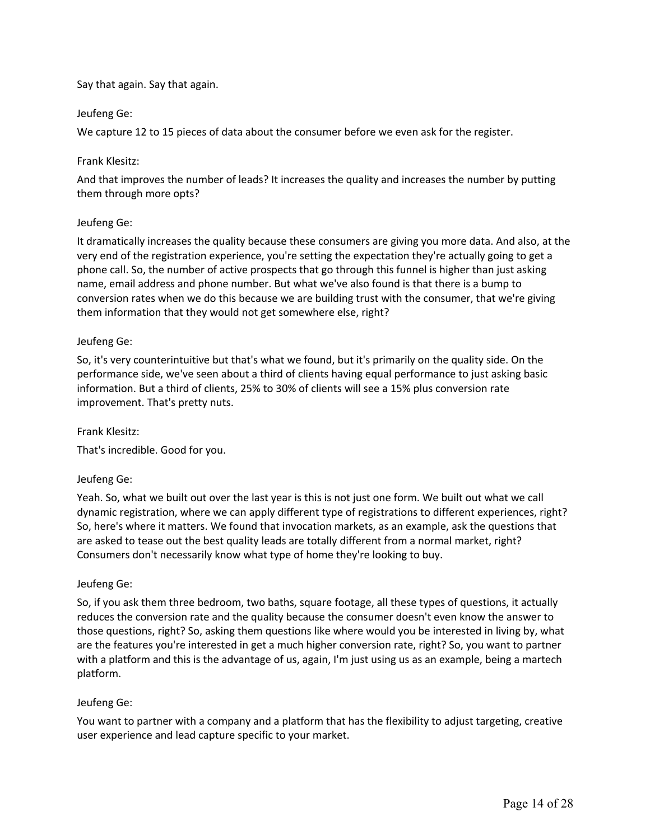# Say that again. Say that again.

# Jeufeng Ge:

We capture 12 to 15 pieces of data about the consumer before we even ask for the register.

# Frank Klesitz:

And that improves the number of leads? It increases the quality and increases the number by putting them through more opts?

# Jeufeng Ge:

It dramatically increases the quality because these consumers are giving you more data. And also, at the very end of the registration experience, you're setting the expectation they're actually going to get a phone call. So, the number of active prospects that go through this funnel is higher than just asking name, email address and phone number. But what we've also found is that there is a bump to conversion rates when we do this because we are building trust with the consumer, that we're giving them information that they would not get somewhere else, right?

# Jeufeng Ge:

So, it's very counterintuitive but that's what we found, but it's primarily on the quality side. On the performance side, we've seen about a third of clients having equal performance to just asking basic information. But a third of clients, 25% to 30% of clients will see a 15% plus conversion rate improvement. That's pretty nuts.

## Frank Klesitz:

That's incredible. Good for you.

## Jeufeng Ge:

Yeah. So, what we built out over the last year is this is not just one form. We built out what we call dynamic registration, where we can apply different type of registrations to different experiences, right? So, here's where it matters. We found that invocation markets, as an example, ask the questions that are asked to tease out the best quality leads are totally different from a normal market, right? Consumers don't necessarily know what type of home they're looking to buy.

## Jeufeng Ge:

So, if you ask them three bedroom, two baths, square footage, all these types of questions, it actually reduces the conversion rate and the quality because the consumer doesn't even know the answer to those questions, right? So, asking them questions like where would you be interested in living by, what are the features you're interested in get a much higher conversion rate, right? So, you want to partner with a platform and this is the advantage of us, again, I'm just using us as an example, being a martech platform.

## Jeufeng Ge:

You want to partner with a company and a platform that has the flexibility to adjust targeting, creative user experience and lead capture specific to your market.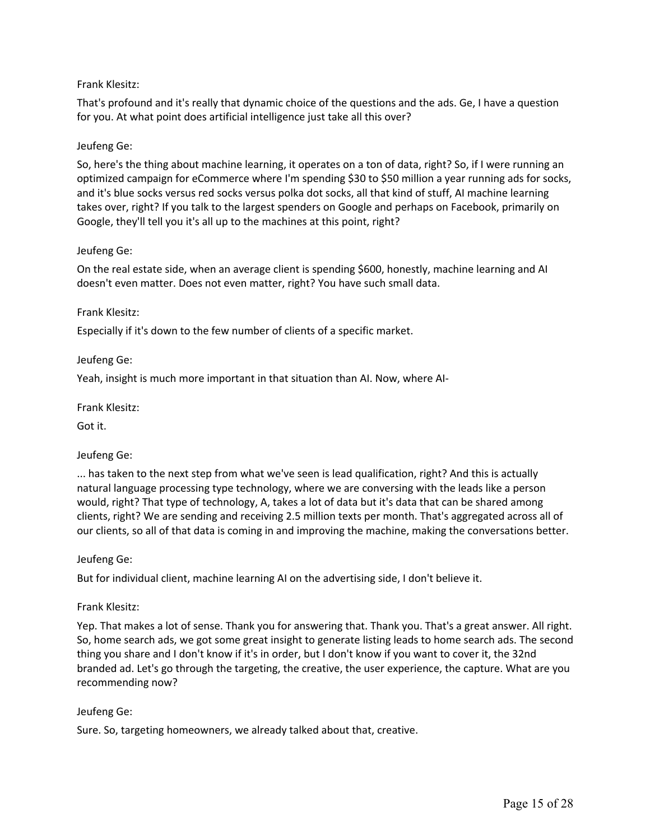# Frank Klesitz:

That's profound and it's really that dynamic choice of the questions and the ads. Ge, I have a question for you. At what point does artificial intelligence just take all this over?

# Jeufeng Ge:

So, here's the thing about machine learning, it operates on a ton of data, right? So, if I were running an optimized campaign for eCommerce where I'm spending \$30 to \$50 million a year running ads for socks, and it's blue socks versus red socks versus polka dot socks, all that kind of stuff, AI machine learning takes over, right? If you talk to the largest spenders on Google and perhaps on Facebook, primarily on Google, they'll tell you it's all up to the machines at this point, right?

## Jeufeng Ge:

On the real estate side, when an average client is spending \$600, honestly, machine learning and AI doesn't even matter. Does not even matter, right? You have such small data.

## Frank Klesitz:

Especially if it's down to the few number of clients of a specific market.

# Jeufeng Ge:

Yeah, insight is much more important in that situation than AI. Now, where AI-

Frank Klesitz:

Got it.

# Jeufeng Ge:

... has taken to the next step from what we've seen is lead qualification, right? And this is actually natural language processing type technology, where we are conversing with the leads like a person would, right? That type of technology, A, takes a lot of data but it's data that can be shared among clients, right? We are sending and receiving 2.5 million texts per month. That's aggregated across all of our clients, so all of that data is coming in and improving the machine, making the conversations better.

## Jeufeng Ge:

But for individual client, machine learning AI on the advertising side, I don't believe it.

## Frank Klesitz:

Yep. That makes a lot of sense. Thank you for answering that. Thank you. That's a great answer. All right. So, home search ads, we got some great insight to generate listing leads to home search ads. The second thing you share and I don't know if it's in order, but I don't know if you want to cover it, the 32nd branded ad. Let's go through the targeting, the creative, the user experience, the capture. What are you recommending now?

## Jeufeng Ge:

Sure. So, targeting homeowners, we already talked about that, creative.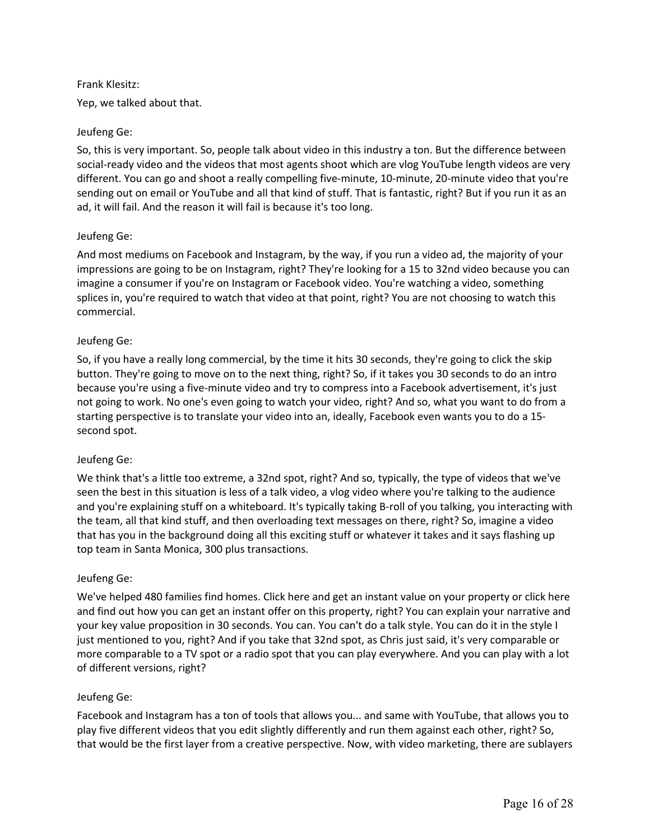## Frank Klesitz:

Yep, we talked about that.

# Jeufeng Ge:

So, this is very important. So, people talk about video in this industry a ton. But the difference between social-ready video and the videos that most agents shoot which are vlog YouTube length videos are very different. You can go and shoot a really compelling five-minute, 10-minute, 20-minute video that you're sending out on email or YouTube and all that kind of stuff. That is fantastic, right? But if you run it as an ad, it will fail. And the reason it will fail is because it's too long.

# Jeufeng Ge:

And most mediums on Facebook and Instagram, by the way, if you run a video ad, the majority of your impressions are going to be on Instagram, right? They're looking for a 15 to 32nd video because you can imagine a consumer if you're on Instagram or Facebook video. You're watching a video, something splices in, you're required to watch that video at that point, right? You are not choosing to watch this commercial.

# Jeufeng Ge:

So, if you have a really long commercial, by the time it hits 30 seconds, they're going to click the skip button. They're going to move on to the next thing, right? So, if it takes you 30 seconds to do an intro because you're using a five-minute video and try to compress into a Facebook advertisement, it's just not going to work. No one's even going to watch your video, right? And so, what you want to do from a starting perspective is to translate your video into an, ideally, Facebook even wants you to do a 15 second spot.

## Jeufeng Ge:

We think that's a little too extreme, a 32nd spot, right? And so, typically, the type of videos that we've seen the best in this situation is less of a talk video, a vlog video where you're talking to the audience and you're explaining stuff on a whiteboard. It's typically taking B-roll of you talking, you interacting with the team, all that kind stuff, and then overloading text messages on there, right? So, imagine a video that has you in the background doing all this exciting stuff or whatever it takes and it says flashing up top team in Santa Monica, 300 plus transactions.

## Jeufeng Ge:

We've helped 480 families find homes. Click here and get an instant value on your property or click here and find out how you can get an instant offer on this property, right? You can explain your narrative and your key value proposition in 30 seconds. You can. You can't do a talk style. You can do it in the style I just mentioned to you, right? And if you take that 32nd spot, as Chris just said, it's very comparable or more comparable to a TV spot or a radio spot that you can play everywhere. And you can play with a lot of different versions, right?

## Jeufeng Ge:

Facebook and Instagram has a ton of tools that allows you... and same with YouTube, that allows you to play five different videos that you edit slightly differently and run them against each other, right? So, that would be the first layer from a creative perspective. Now, with video marketing, there are sublayers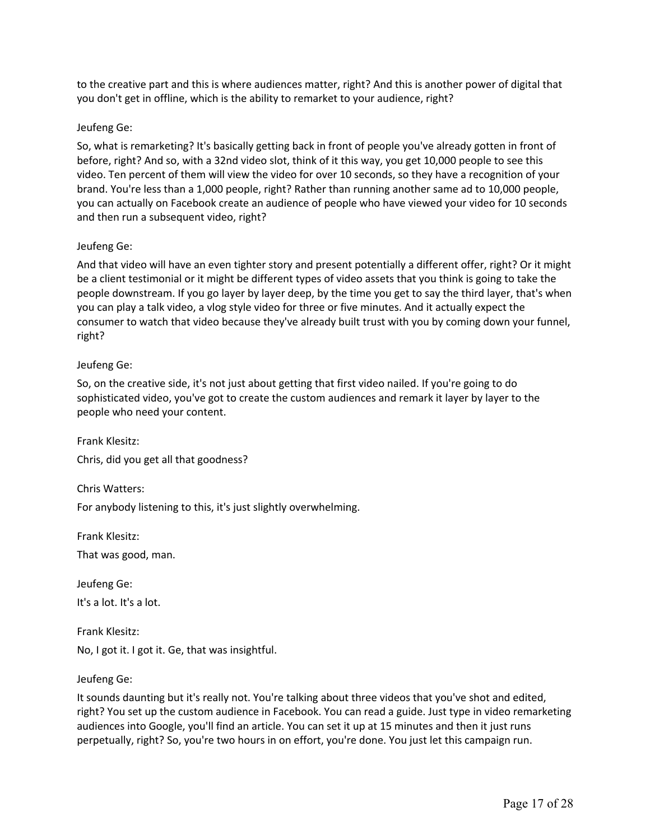to the creative part and this is where audiences matter, right? And this is another power of digital that you don't get in offline, which is the ability to remarket to your audience, right?

#### Jeufeng Ge:

So, what is remarketing? It's basically getting back in front of people you've already gotten in front of before, right? And so, with a 32nd video slot, think of it this way, you get 10,000 people to see this video. Ten percent of them will view the video for over 10 seconds, so they have a recognition of your brand. You're less than a 1,000 people, right? Rather than running another same ad to 10,000 people, you can actually on Facebook create an audience of people who have viewed your video for 10 seconds and then run a subsequent video, right?

#### Jeufeng Ge:

And that video will have an even tighter story and present potentially a different offer, right? Or it might be a client testimonial or it might be different types of video assets that you think is going to take the people downstream. If you go layer by layer deep, by the time you get to say the third layer, that's when you can play a talk video, a vlog style video for three or five minutes. And it actually expect the consumer to watch that video because they've already built trust with you by coming down your funnel, right?

#### Jeufeng Ge:

So, on the creative side, it's not just about getting that first video nailed. If you're going to do sophisticated video, you've got to create the custom audiences and remark it layer by layer to the people who need your content.

Frank Klesitz:

Chris, did you get all that goodness?

Chris Watters:

For anybody listening to this, it's just slightly overwhelming.

Frank Klesitz:

That was good, man.

Jeufeng Ge: It's a lot. It's a lot.

Frank Klesitz: No, I got it. I got it. Ge, that was insightful.

## Jeufeng Ge:

It sounds daunting but it's really not. You're talking about three videos that you've shot and edited, right? You set up the custom audience in Facebook. You can read a guide. Just type in video remarketing audiences into Google, you'll find an article. You can set it up at 15 minutes and then it just runs perpetually, right? So, you're two hours in on effort, you're done. You just let this campaign run.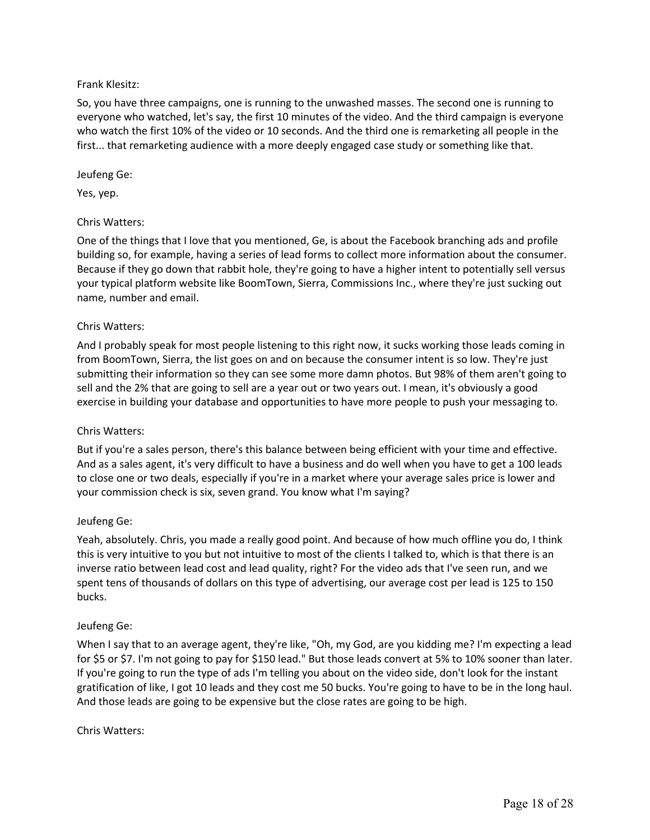# Frank Klesitz:

So, you have three campaigns, one is running to the unwashed masses. The second one is running to everyone who watched, let's say, the first 10 minutes of the video. And the third campaign is everyone who watch the first 10% of the video or 10 seconds. And the third one is remarketing all people in the first... that remarketing audience with a more deeply engaged case study or something like that.

## Jeufeng Ge:

Yes, yep.

# Chris Watters:

One of the things that I love that you mentioned, Ge, is about the Facebook branching ads and profile building so, for example, having a series of lead forms to collect more information about the consumer. Because if they go down that rabbit hole, they're going to have a higher intent to potentially sell versus your typical platform website like BoomTown, Sierra, Commissions Inc., where they're just sucking out name, number and email.

# Chris Watters:

And I probably speak for most people listening to this right now, it sucks working those leads coming in from BoomTown, Sierra, the list goes on and on because the consumer intent is so low. They're just submitting their information so they can see some more damn photos. But 98% of them aren't going to sell and the 2% that are going to sell are a year out or two years out. I mean, it's obviously a good exercise in building your database and opportunities to have more people to push your messaging to.

## Chris Watters:

But if you're a sales person, there's this balance between being efficient with your time and effective. And as a sales agent, it's very difficult to have a business and do well when you have to get a 100 leads to close one or two deals, especially if you're in a market where your average sales price is lower and your commission check is six, seven grand. You know what I'm saying?

## Jeufeng Ge:

Yeah, absolutely. Chris, you made a really good point. And because of how much offline you do, I think this is very intuitive to you but not intuitive to most of the clients I talked to, which is that there is an inverse ratio between lead cost and lead quality, right? For the video ads that I've seen run, and we spent tens of thousands of dollars on this type of advertising, our average cost per lead is 125 to 150 bucks.

## Jeufeng Ge:

When I say that to an average agent, they're like, "Oh, my God, are you kidding me? I'm expecting a lead for \$5 or \$7. I'm not going to pay for \$150 lead." But those leads convert at 5% to 10% sooner than later. If you're going to run the type of ads I'm telling you about on the video side, don't look for the instant gratification of like, I got 10 leads and they cost me 50 bucks. You're going to have to be in the long haul. And those leads are going to be expensive but the close rates are going to be high.

## Chris Watters: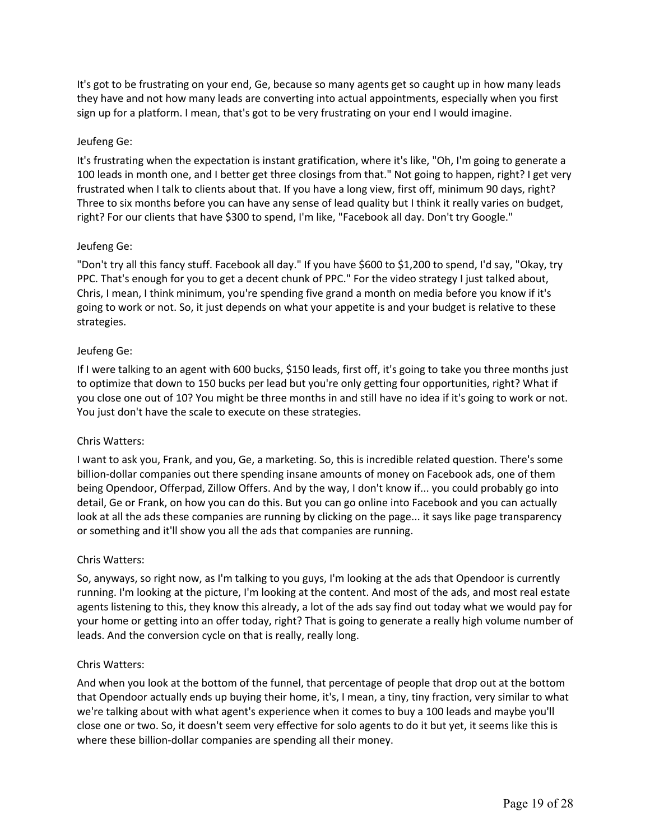It's got to be frustrating on your end, Ge, because so many agents get so caught up in how many leads they have and not how many leads are converting into actual appointments, especially when you first sign up for a platform. I mean, that's got to be very frustrating on your end I would imagine.

#### Jeufeng Ge:

It's frustrating when the expectation is instant gratification, where it's like, "Oh, I'm going to generate a 100 leads in month one, and I better get three closings from that." Not going to happen, right? I get very frustrated when I talk to clients about that. If you have a long view, first off, minimum 90 days, right? Three to six months before you can have any sense of lead quality but I think it really varies on budget, right? For our clients that have \$300 to spend, I'm like, "Facebook all day. Don't try Google."

#### Jeufeng Ge:

"Don't try all this fancy stuff. Facebook all day." If you have \$600 to \$1,200 to spend, I'd say, "Okay, try PPC. That's enough for you to get a decent chunk of PPC." For the video strategy I just talked about, Chris, I mean, I think minimum, you're spending five grand a month on media before you know if it's going to work or not. So, it just depends on what your appetite is and your budget is relative to these strategies.

#### Jeufeng Ge:

If I were talking to an agent with 600 bucks, \$150 leads, first off, it's going to take you three months just to optimize that down to 150 bucks per lead but you're only getting four opportunities, right? What if you close one out of 10? You might be three months in and still have no idea if it's going to work or not. You just don't have the scale to execute on these strategies.

#### Chris Watters:

I want to ask you, Frank, and you, Ge, a marketing. So, this is incredible related question. There's some billion-dollar companies out there spending insane amounts of money on Facebook ads, one of them being Opendoor, Offerpad, Zillow Offers. And by the way, I don't know if... you could probably go into detail, Ge or Frank, on how you can do this. But you can go online into Facebook and you can actually look at all the ads these companies are running by clicking on the page... it says like page transparency or something and it'll show you all the ads that companies are running.

#### Chris Watters:

So, anyways, so right now, as I'm talking to you guys, I'm looking at the ads that Opendoor is currently running. I'm looking at the picture, I'm looking at the content. And most of the ads, and most real estate agents listening to this, they know this already, a lot of the ads say find out today what we would pay for your home or getting into an offer today, right? That is going to generate a really high volume number of leads. And the conversion cycle on that is really, really long.

#### Chris Watters:

And when you look at the bottom of the funnel, that percentage of people that drop out at the bottom that Opendoor actually ends up buying their home, it's, I mean, a tiny, tiny fraction, very similar to what we're talking about with what agent's experience when it comes to buy a 100 leads and maybe you'll close one or two. So, it doesn't seem very effective for solo agents to do it but yet, it seems like this is where these billion-dollar companies are spending all their money.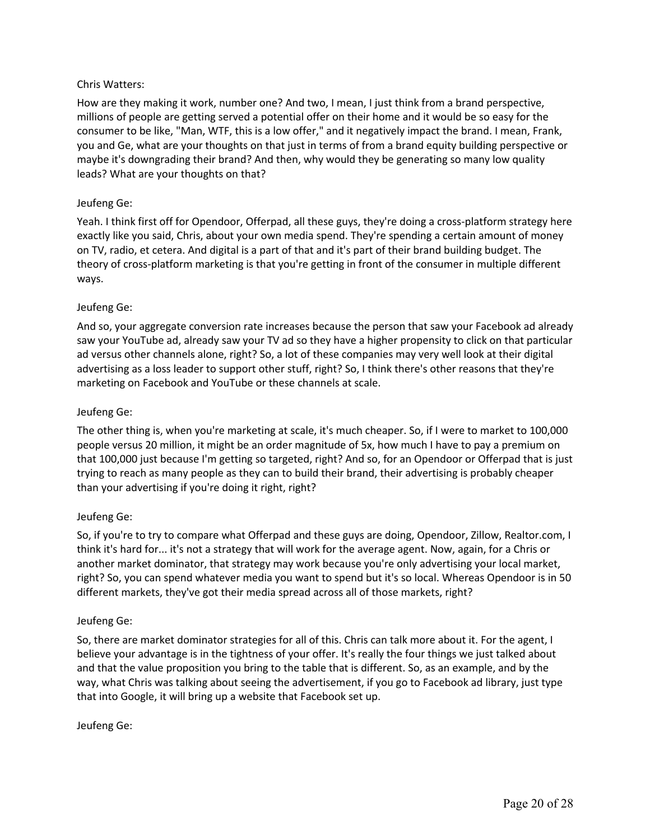# Chris Watters:

How are they making it work, number one? And two, I mean, I just think from a brand perspective, millions of people are getting served a potential offer on their home and it would be so easy for the consumer to be like, "Man, WTF, this is a low offer," and it negatively impact the brand. I mean, Frank, you and Ge, what are your thoughts on that just in terms of from a brand equity building perspective or maybe it's downgrading their brand? And then, why would they be generating so many low quality leads? What are your thoughts on that?

# Jeufeng Ge:

Yeah. I think first off for Opendoor, Offerpad, all these guys, they're doing a cross-platform strategy here exactly like you said, Chris, about your own media spend. They're spending a certain amount of money on TV, radio, et cetera. And digital is a part of that and it's part of their brand building budget. The theory of cross-platform marketing is that you're getting in front of the consumer in multiple different ways.

# Jeufeng Ge:

And so, your aggregate conversion rate increases because the person that saw your Facebook ad already saw your YouTube ad, already saw your TV ad so they have a higher propensity to click on that particular ad versus other channels alone, right? So, a lot of these companies may very well look at their digital advertising as a loss leader to support other stuff, right? So, I think there's other reasons that they're marketing on Facebook and YouTube or these channels at scale.

# Jeufeng Ge:

The other thing is, when you're marketing at scale, it's much cheaper. So, if I were to market to 100,000 people versus 20 million, it might be an order magnitude of 5x, how much I have to pay a premium on that 100,000 just because I'm getting so targeted, right? And so, for an Opendoor or Offerpad that is just trying to reach as many people as they can to build their brand, their advertising is probably cheaper than your advertising if you're doing it right, right?

# Jeufeng Ge:

So, if you're to try to compare what Offerpad and these guys are doing, Opendoor, Zillow, Realtor.com, I think it's hard for... it's not a strategy that will work for the average agent. Now, again, for a Chris or another market dominator, that strategy may work because you're only advertising your local market, right? So, you can spend whatever media you want to spend but it's so local. Whereas Opendoor is in 50 different markets, they've got their media spread across all of those markets, right?

## Jeufeng Ge:

So, there are market dominator strategies for all of this. Chris can talk more about it. For the agent, I believe your advantage is in the tightness of your offer. It's really the four things we just talked about and that the value proposition you bring to the table that is different. So, as an example, and by the way, what Chris was talking about seeing the advertisement, if you go to Facebook ad library, just type that into Google, it will bring up a website that Facebook set up.

## Jeufeng Ge: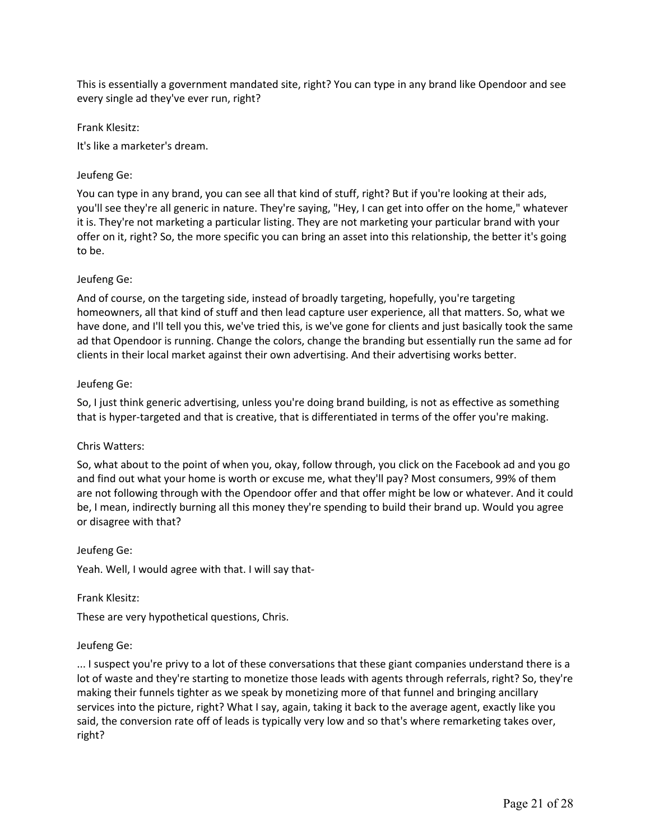This is essentially a government mandated site, right? You can type in any brand like Opendoor and see every single ad they've ever run, right?

Frank Klesitz:

It's like a marketer's dream.

## Jeufeng Ge:

You can type in any brand, you can see all that kind of stuff, right? But if you're looking at their ads, you'll see they're all generic in nature. They're saying, "Hey, I can get into offer on the home," whatever it is. They're not marketing a particular listing. They are not marketing your particular brand with your offer on it, right? So, the more specific you can bring an asset into this relationship, the better it's going to be.

#### Jeufeng Ge:

And of course, on the targeting side, instead of broadly targeting, hopefully, you're targeting homeowners, all that kind of stuff and then lead capture user experience, all that matters. So, what we have done, and I'll tell you this, we've tried this, is we've gone for clients and just basically took the same ad that Opendoor is running. Change the colors, change the branding but essentially run the same ad for clients in their local market against their own advertising. And their advertising works better.

#### Jeufeng Ge:

So, I just think generic advertising, unless you're doing brand building, is not as effective as something that is hyper-targeted and that is creative, that is differentiated in terms of the offer you're making.

#### Chris Watters:

So, what about to the point of when you, okay, follow through, you click on the Facebook ad and you go and find out what your home is worth or excuse me, what they'll pay? Most consumers, 99% of them are not following through with the Opendoor offer and that offer might be low or whatever. And it could be, I mean, indirectly burning all this money they're spending to build their brand up. Would you agree or disagree with that?

#### Jeufeng Ge:

Yeah. Well, I would agree with that. I will say that-

#### Frank Klesitz:

These are very hypothetical questions, Chris.

#### Jeufeng Ge:

... I suspect you're privy to a lot of these conversations that these giant companies understand there is a lot of waste and they're starting to monetize those leads with agents through referrals, right? So, they're making their funnels tighter as we speak by monetizing more of that funnel and bringing ancillary services into the picture, right? What I say, again, taking it back to the average agent, exactly like you said, the conversion rate off of leads is typically very low and so that's where remarketing takes over, right?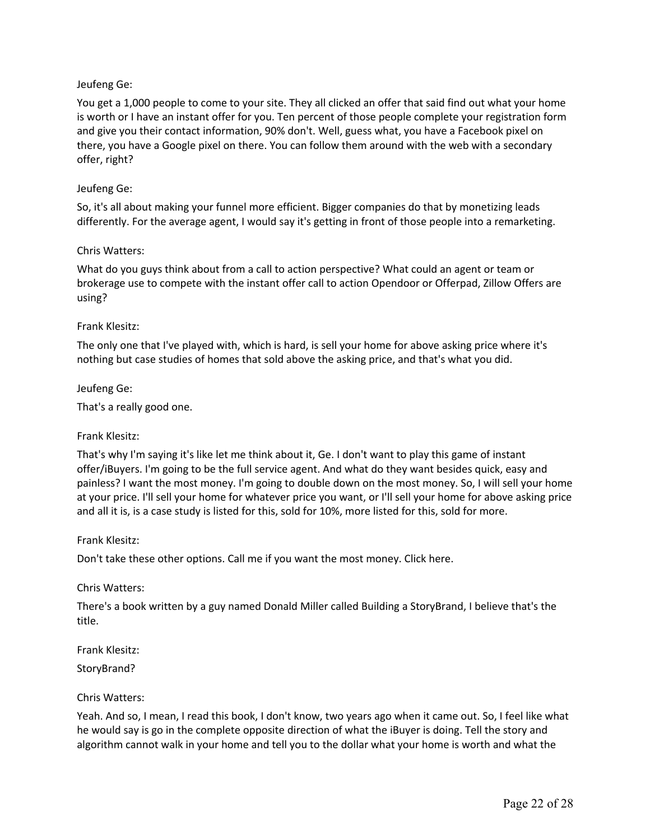You get a 1,000 people to come to your site. They all clicked an offer that said find out what your home is worth or I have an instant offer for you. Ten percent of those people complete your registration form and give you their contact information, 90% don't. Well, guess what, you have a Facebook pixel on there, you have a Google pixel on there. You can follow them around with the web with a secondary offer, right?

## Jeufeng Ge:

So, it's all about making your funnel more efficient. Bigger companies do that by monetizing leads differently. For the average agent, I would say it's getting in front of those people into a remarketing.

## Chris Watters:

What do you guys think about from a call to action perspective? What could an agent or team or brokerage use to compete with the instant offer call to action Opendoor or Offerpad, Zillow Offers are using?

## Frank Klesitz:

The only one that I've played with, which is hard, is sell your home for above asking price where it's nothing but case studies of homes that sold above the asking price, and that's what you did.

Jeufeng Ge:

That's a really good one.

## Frank Klesitz:

That's why I'm saying it's like let me think about it, Ge. I don't want to play this game of instant offer/iBuyers. I'm going to be the full service agent. And what do they want besides quick, easy and painless? I want the most money. I'm going to double down on the most money. So, I will sell your home at your price. I'll sell your home for whatever price you want, or I'll sell your home for above asking price and all it is, is a case study is listed for this, sold for 10%, more listed for this, sold for more.

#### Frank Klesitz:

Don't take these other options. Call me if you want the most money. Click here.

#### Chris Watters:

There's a book written by a guy named Donald Miller called Building a StoryBrand, I believe that's the title.

Frank Klesitz: StoryBrand?

#### Chris Watters:

Yeah. And so, I mean, I read this book, I don't know, two years ago when it came out. So, I feel like what he would say is go in the complete opposite direction of what the iBuyer is doing. Tell the story and algorithm cannot walk in your home and tell you to the dollar what your home is worth and what the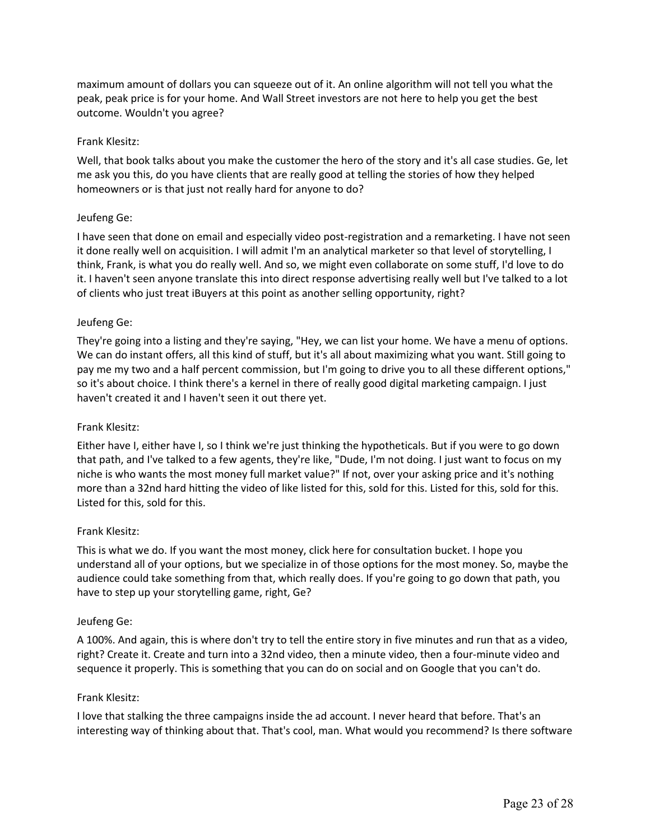maximum amount of dollars you can squeeze out of it. An online algorithm will not tell you what the peak, peak price is for your home. And Wall Street investors are not here to help you get the best outcome. Wouldn't you agree?

#### Frank Klesitz:

Well, that book talks about you make the customer the hero of the story and it's all case studies. Ge, let me ask you this, do you have clients that are really good at telling the stories of how they helped homeowners or is that just not really hard for anyone to do?

#### Jeufeng Ge:

I have seen that done on email and especially video post-registration and a remarketing. I have not seen it done really well on acquisition. I will admit I'm an analytical marketer so that level of storytelling, I think, Frank, is what you do really well. And so, we might even collaborate on some stuff, I'd love to do it. I haven't seen anyone translate this into direct response advertising really well but I've talked to a lot of clients who just treat iBuyers at this point as another selling opportunity, right?

#### Jeufeng Ge:

They're going into a listing and they're saying, "Hey, we can list your home. We have a menu of options. We can do instant offers, all this kind of stuff, but it's all about maximizing what you want. Still going to pay me my two and a half percent commission, but I'm going to drive you to all these different options," so it's about choice. I think there's a kernel in there of really good digital marketing campaign. I just haven't created it and I haven't seen it out there yet.

#### Frank Klesitz:

Either have I, either have I, so I think we're just thinking the hypotheticals. But if you were to go down that path, and I've talked to a few agents, they're like, "Dude, I'm not doing. I just want to focus on my niche is who wants the most money full market value?" If not, over your asking price and it's nothing more than a 32nd hard hitting the video of like listed for this, sold for this. Listed for this, sold for this. Listed for this, sold for this.

#### Frank Klesitz:

This is what we do. If you want the most money, click here for consultation bucket. I hope you understand all of your options, but we specialize in of those options for the most money. So, maybe the audience could take something from that, which really does. If you're going to go down that path, you have to step up your storytelling game, right, Ge?

#### Jeufeng Ge:

A 100%. And again, this is where don't try to tell the entire story in five minutes and run that as a video, right? Create it. Create and turn into a 32nd video, then a minute video, then a four-minute video and sequence it properly. This is something that you can do on social and on Google that you can't do.

#### Frank Klesitz:

I love that stalking the three campaigns inside the ad account. I never heard that before. That's an interesting way of thinking about that. That's cool, man. What would you recommend? Is there software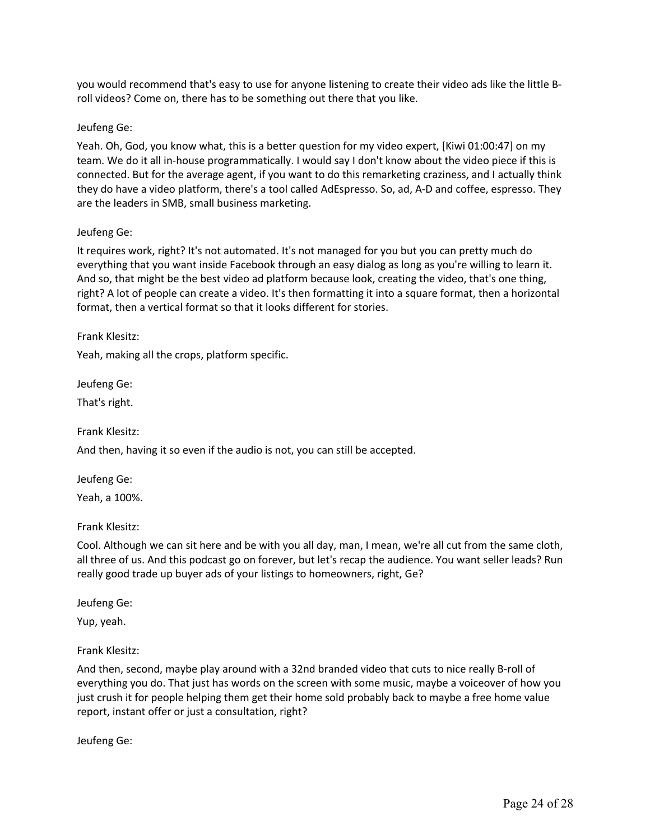you would recommend that's easy to use for anyone listening to create their video ads like the little Broll videos? Come on, there has to be something out there that you like.

#### Jeufeng Ge:

Yeah. Oh, God, you know what, this is a better question for my video expert, [Kiwi 01:00:47] on my team. We do it all in-house programmatically. I would say I don't know about the video piece if this is connected. But for the average agent, if you want to do this remarketing craziness, and I actually think they do have a video platform, there's a tool called AdEspresso. So, ad, A-D and coffee, espresso. They are the leaders in SMB, small business marketing.

#### Jeufeng Ge:

It requires work, right? It's not automated. It's not managed for you but you can pretty much do everything that you want inside Facebook through an easy dialog as long as you're willing to learn it. And so, that might be the best video ad platform because look, creating the video, that's one thing, right? A lot of people can create a video. It's then formatting it into a square format, then a horizontal format, then a vertical format so that it looks different for stories.

#### Frank Klesitz:

Yeah, making all the crops, platform specific.

Jeufeng Ge:

That's right.

Frank Klesitz:

And then, having it so even if the audio is not, you can still be accepted.

Jeufeng Ge:

Yeah, a 100%.

Frank Klesitz:

Cool. Although we can sit here and be with you all day, man, I mean, we're all cut from the same cloth, all three of us. And this podcast go on forever, but let's recap the audience. You want seller leads? Run really good trade up buyer ads of your listings to homeowners, right, Ge?

Jeufeng Ge:

Yup, yeah.

Frank Klesitz:

And then, second, maybe play around with a 32nd branded video that cuts to nice really B-roll of everything you do. That just has words on the screen with some music, maybe a voiceover of how you just crush it for people helping them get their home sold probably back to maybe a free home value report, instant offer or just a consultation, right?

Jeufeng Ge: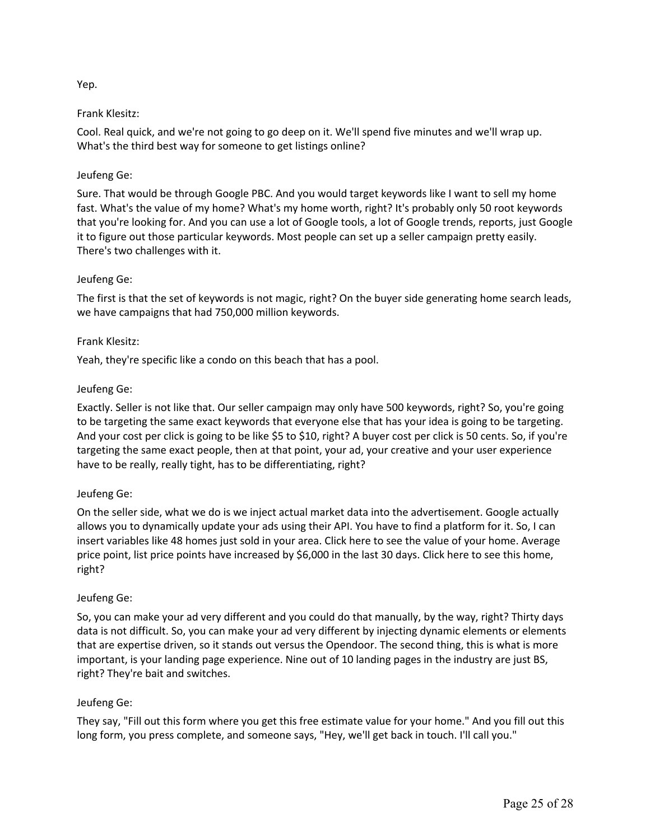# Yep.

# Frank Klesitz:

Cool. Real quick, and we're not going to go deep on it. We'll spend five minutes and we'll wrap up. What's the third best way for someone to get listings online?

# Jeufeng Ge:

Sure. That would be through Google PBC. And you would target keywords like I want to sell my home fast. What's the value of my home? What's my home worth, right? It's probably only 50 root keywords that you're looking for. And you can use a lot of Google tools, a lot of Google trends, reports, just Google it to figure out those particular keywords. Most people can set up a seller campaign pretty easily. There's two challenges with it.

# Jeufeng Ge:

The first is that the set of keywords is not magic, right? On the buyer side generating home search leads, we have campaigns that had 750,000 million keywords.

## Frank Klesitz:

Yeah, they're specific like a condo on this beach that has a pool.

# Jeufeng Ge:

Exactly. Seller is not like that. Our seller campaign may only have 500 keywords, right? So, you're going to be targeting the same exact keywords that everyone else that has your idea is going to be targeting. And your cost per click is going to be like \$5 to \$10, right? A buyer cost per click is 50 cents. So, if you're targeting the same exact people, then at that point, your ad, your creative and your user experience have to be really, really tight, has to be differentiating, right?

## Jeufeng Ge:

On the seller side, what we do is we inject actual market data into the advertisement. Google actually allows you to dynamically update your ads using their API. You have to find a platform for it. So, I can insert variables like 48 homes just sold in your area. Click here to see the value of your home. Average price point, list price points have increased by \$6,000 in the last 30 days. Click here to see this home, right?

## Jeufeng Ge:

So, you can make your ad very different and you could do that manually, by the way, right? Thirty days data is not difficult. So, you can make your ad very different by injecting dynamic elements or elements that are expertise driven, so it stands out versus the Opendoor. The second thing, this is what is more important, is your landing page experience. Nine out of 10 landing pages in the industry are just BS, right? They're bait and switches.

## Jeufeng Ge:

They say, "Fill out this form where you get this free estimate value for your home." And you fill out this long form, you press complete, and someone says, "Hey, we'll get back in touch. I'll call you."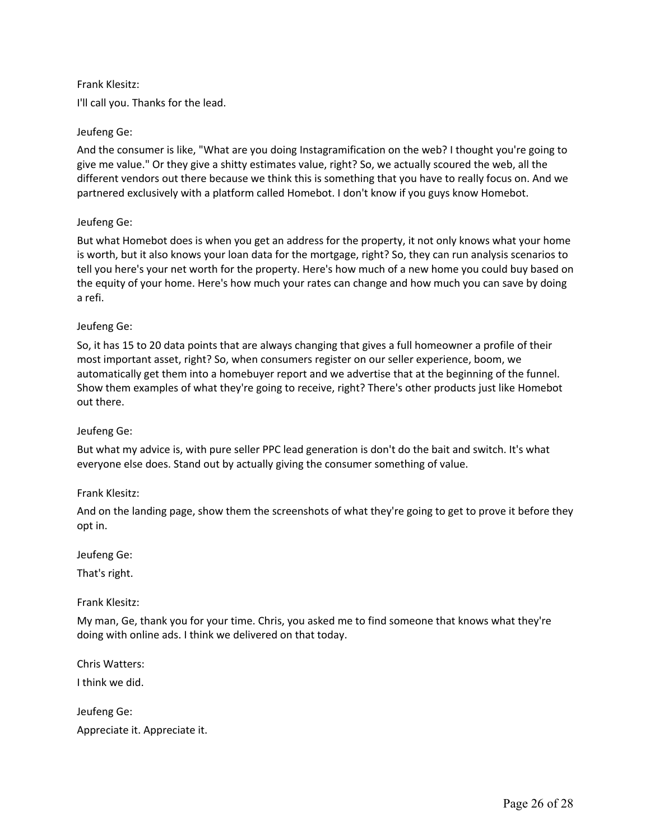## Frank Klesitz:

I'll call you. Thanks for the lead.

# Jeufeng Ge:

And the consumer is like, "What are you doing Instagramification on the web? I thought you're going to give me value." Or they give a shitty estimates value, right? So, we actually scoured the web, all the different vendors out there because we think this is something that you have to really focus on. And we partnered exclusively with a platform called Homebot. I don't know if you guys know Homebot.

# Jeufeng Ge:

But what Homebot does is when you get an address for the property, it not only knows what your home is worth, but it also knows your loan data for the mortgage, right? So, they can run analysis scenarios to tell you here's your net worth for the property. Here's how much of a new home you could buy based on the equity of your home. Here's how much your rates can change and how much you can save by doing a refi.

## Jeufeng Ge:

So, it has 15 to 20 data points that are always changing that gives a full homeowner a profile of their most important asset, right? So, when consumers register on our seller experience, boom, we automatically get them into a homebuyer report and we advertise that at the beginning of the funnel. Show them examples of what they're going to receive, right? There's other products just like Homebot out there.

## Jeufeng Ge:

But what my advice is, with pure seller PPC lead generation is don't do the bait and switch. It's what everyone else does. Stand out by actually giving the consumer something of value.

## Frank Klesitz:

And on the landing page, show them the screenshots of what they're going to get to prove it before they opt in.

Jeufeng Ge:

That's right.

Frank Klesitz:

My man, Ge, thank you for your time. Chris, you asked me to find someone that knows what they're doing with online ads. I think we delivered on that today.

Chris Watters: I think we did.

Jeufeng Ge: Appreciate it. Appreciate it.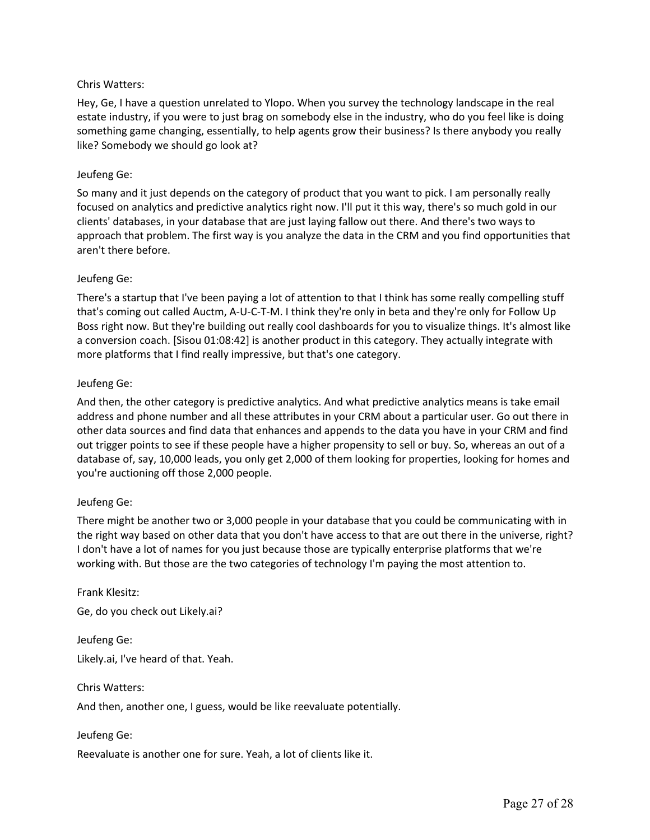# Chris Watters:

Hey, Ge, I have a question unrelated to Ylopo. When you survey the technology landscape in the real estate industry, if you were to just brag on somebody else in the industry, who do you feel like is doing something game changing, essentially, to help agents grow their business? Is there anybody you really like? Somebody we should go look at?

# Jeufeng Ge:

So many and it just depends on the category of product that you want to pick. I am personally really focused on analytics and predictive analytics right now. I'll put it this way, there's so much gold in our clients' databases, in your database that are just laying fallow out there. And there's two ways to approach that problem. The first way is you analyze the data in the CRM and you find opportunities that aren't there before.

## Jeufeng Ge:

There's a startup that I've been paying a lot of attention to that I think has some really compelling stuff that's coming out called Auctm, A-U-C-T-M. I think they're only in beta and they're only for Follow Up Boss right now. But they're building out really cool dashboards for you to visualize things. It's almost like a conversion coach. [Sisou 01:08:42] is another product in this category. They actually integrate with more platforms that I find really impressive, but that's one category.

# Jeufeng Ge:

And then, the other category is predictive analytics. And what predictive analytics means is take email address and phone number and all these attributes in your CRM about a particular user. Go out there in other data sources and find data that enhances and appends to the data you have in your CRM and find out trigger points to see if these people have a higher propensity to sell or buy. So, whereas an out of a database of, say, 10,000 leads, you only get 2,000 of them looking for properties, looking for homes and you're auctioning off those 2,000 people.

## Jeufeng Ge:

There might be another two or 3,000 people in your database that you could be communicating with in the right way based on other data that you don't have access to that are out there in the universe, right? I don't have a lot of names for you just because those are typically enterprise platforms that we're working with. But those are the two categories of technology I'm paying the most attention to.

Frank Klesitz: Ge, do you check out Likely.ai?

Jeufeng Ge: Likely.ai, I've heard of that. Yeah.

Chris Watters:

And then, another one, I guess, would be like reevaluate potentially.

## Jeufeng Ge:

Reevaluate is another one for sure. Yeah, a lot of clients like it.